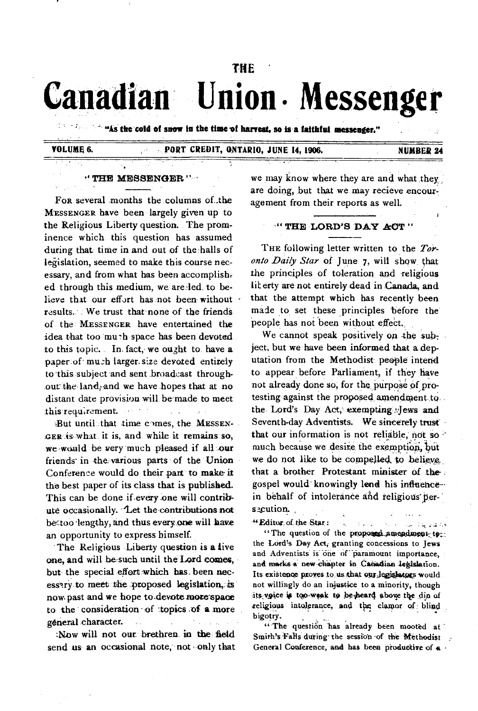# **THE ' Canadian Union • Messenger**

**" "As the cold of snow in the time-of harvest, so is a faithful messenger."** 

# **VOLUME 6. PORT CREDIT, ONTARIO, JUNE 14, 1906. NUMBER 24**

#### **" THE MESSENGER**

For several months the columns of the **MESSENGER** have been largely given up to the Religious Liberty question. The prominence which this question has assumed during that time in and out of the halls of legislation, seemed to make this course necessary, and from what has been accomplish ed through this medium, we are ied to believe that our effort has not been without results. We trust that none of the friends of the **MESSENGER** have entertained the idea that too mu-h space has been devoted to this topic.. In fact, we ought to have a paper of mu:h larger. size devoted entirely to this subject and sent broadcast throughout the land, and we have hopes that at no distant date provision will be made to meet this requrement.

But until that time comes, the MESSEN-**GER** is what it is, and while it remains so, we-would be very much pleased if all our friends in the various parts of the Union Conference would do their part to make it the best paper of its class that is published. This can be done if every one will contribute occasionally. 'Let the contributions not bec.too lengthy, and thus every one will have an opportunity to express himself.

The Religious Liberty question is **a** live one, and will be such until the Lord comes, but the special effort which has been necessay to meet the proposed legislation, is **now• past and we hope to.devote more-space to the consideration 'of 'topics of a more general character.** 

**Now will not our brethren in the field send us an occasional note, not** only that we may know where they are and what they are doing, but that we may recieve encouragement from their reports as well.

#### **•" THE LORD'S DAY ACT "**

**THE** following letter written to the *Toronto Daily Star* of June 7, will show that the principles of toleration and religious lit erty are not entirely dead in Canada, and that the attempt which has recently been made to set these principles before the people has not been without effect.

We cannot speak positively on the subject, but we have been informed that a deputation from the Methodist people intend to appear before Parliament, if they have not already done so, for the purpose of protesting against the proposed amendment to the Lord's Day Act, exempting:Jews and Seventh-day Adventists. We sincerely trust that our information is not reliable, not so much because we desire the exemption, but we do not like to be compelled to believe. that a brother Protestant minister of the gospel would knowingly lend his influence--in behalf of intolerance and religious persecution.

**"Editor of the Star : .** 

 $\mathbb{C}[\mathbb{Z}^d,\mathbb{Z}^d]$ حمقص وكالملاء "The question of the proposed amendment-to**the Lord's Day Act; granting concessions to Jews**  and **Adventists is one of paramount importance,**  and marks a new chapter in Canadian legislation. Its existence proves to us that our legislators would **not willingly do an injustice to a minority, though**  its voice is too-weak to be heard above the din of religious intolerance, and the clamor of blind **bigotry.** 

 $\sigma_{\rm{10}}$  ,  $\sigma_{\rm{20}}$ 

"The question has already been mooted at Smith's Falls during the session of the Methodist General Conference, and has been productive of a  $\cdot$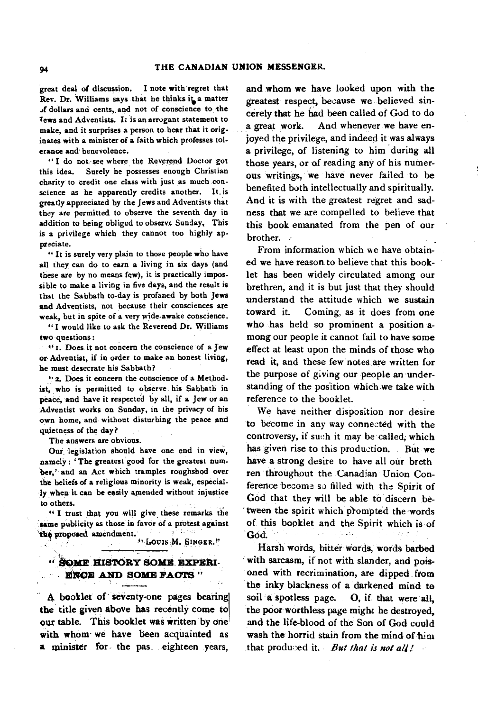**great deal of discussion. I note with regret that Rev. Dr. Williams says that he thinks i'a matter dollars and cents,.and not of conscience to the Tews and Adventists. I: is an arrogant statement to make, and it surprises a person to hear that it originates with a minister of a faith which professes tolerance and benevolence.** 

**" I do not see where the Reverend Doctor got this idea. Surely he possesses enough Christian charity to credit one class with just as much conscience as he apparently credits another. It. is greatly appreciated by the Jews and Adventists that they are permitted to observe the seventh day in addition to being obliged to observe Sunday, This is a privilege which they cannot too highly appreciate.** 

**" It is surely very plain to those people who have all they**, **can do to earn a living in six days (and these are by no means few), it is practically impossible to make a living in five days, and the result is that the Sabbath to-day is profaned by both Jews and Adventists, not because their consciences are weak, but in spite of a very wide-awake conscience.** 

**"I would like to ask the Reverend Dr. Williams two questions :** 

**"1. Does it not concern the conscience of a Jew or Adventist, if in order to make an honest living, he must desecrate his Sabbath?** 

**2. Does it concern the conscience of a Method. ist, who is permitted to observe his Sabbath in peace, and have it respected by all, if a Jew or an Adventist works on Sunday, in the privacy of his own home, and without disturbing the peace and quietness of the day?** 

**The answers are obvious.** 

**Our, legislation should have one end in view, namely : ' The greatest good for the greatest number,' and an Act which tramples roughshod over the beliefs of a religious minority is weak, especially when it can be easily appended without injustice to others.** 

**" I trust that you will give these remarks the same publicity as those in favor of a protest against**  a cantana **ilat proposed amendment.**  - 11

**-" Louis ,M. SINGER."** 

### **SOME HISTORY SOME. EXPERI-ENCE AND SOME FACTS "**

**A booklet of seventy-one pages bearing the title given above has recently come to our table. This booklet was written by one with whom we have been acquainted as a minister for the pas. eighteen years,** 

**and whom we have looked upon with the greatest respect, because we believed sincerely that he had been called of God to do a great work. And whenever we have enjoyed the privilege, and indeed it was always a privilege, of listening to him during all those years, or of reading any of his numerous writings, we have never failed to be benefited both intellectually and spiritually. And it is with the greatest regret and sadness that we are compelled to believe that this book emanated from the pen of our brother. .** 

**From information which we have obtained we have reason to believe that this booklet has been widely circulated among our brethren, and it is but just that they should understand the attitude which we sustain toward it. Coming. as it does from one who has held so prominent a position among our people it cannot fail to have some effect at least upon the minds of those who read it, and these few notes are written for the purpose of giving our people an understanding of the position which.we take with reference to the booklet.** 

**We have neither disposition nor desire to become in any way connected with the controversy, if such it may be called, which**  has given rise to this production. But we **have a strong desire to have all our breth ren throughout the Canadian Union Conference becom?. so filled with the Spirit of God that they will be able to discern be**tween the spirit which prompted the words **of, this booklet and the Spirit which is of `God.** 

**Harsh words, bitter words, words barbed**  with sarcasm, if not with slander, and pois**oned with recrimination, are dipped from the inky blackness of a darkened mind to soil 'a spotless page. 0, if that were all, the poor worthless page might be destroyed, and the life-blood of the Son of God could**  wash the horrid stain from the mind of him **that produced it. But that is not all!**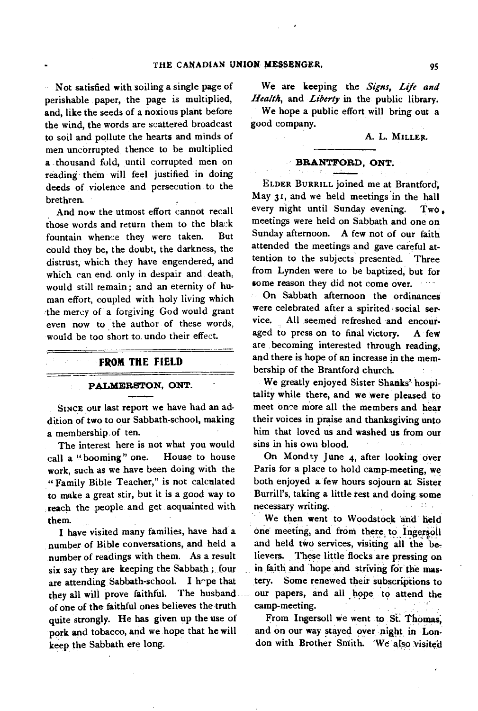**Not satisfied with soiling a single page of perishable paper, the page is multiplied, and, like the seeds of a noxious plant before the wind, the words are scattered broadcast to soil and pollute the hearts and minds of men uncorrupted thence to be multiplied a \_thousand fold, until corrupted men on reading them will feel justified in doing deeds of violence and persecution to the brethren.** 

**And now the utmost effort cannot recall**  those words and return them to the black **fountain whence they were taken. But could they be, the doubt, the darkness, the distrust, which they have engendered, and which can end. only in despair and death, would still remain ; and an eternity of human effort, coupled with holy living which the mercy of a forgiving God would grant**  even now to the author of these words, **would be too short to undo their effect.** 

## **FROM THE FIELD**

 $\mathcal{F} = \mathcal{F} \mathcal{F} \mathcal{F}$ 

#### **PALMERSTON, ONT.**

**SINCE our last report we have had an addition of two to our Sabbath-school, making a membership,of ten.** 

**The interest here is not what you would call a ".booming" one. House to house work, such as we have been doing with the " Family Bible Teacher," is not calculated to make a great stir, but it is a good way to reach the people and get acquainted with them.** 

**I have visited many families, have had a number of Bible conversations, and held a number of readings with them. As a result six say they are keeping the Sabbath ; four are attending Sabbath-school. I h^pe that they all will prove faithful. The husbandof one of the faithful ones believes the truth quite strongly. He has given up the use of pork and tobacco, and we hope that he will keep the Sabbath ere long.** 

**We are keeping the** *Signs, Life and Health,* **and** *Liberty* **in the public library.** 

**We hope a public effort will bring out a good company.** 

#### **A. L. MILLER.**

#### **BRANTFORD, ONT.**

**ELDER BURRILL joined me at Brantford, May 31, and we held meetings in the hall every night until Sunday evening. Two, meetings were held on Sabbath and one on Sunday afternoon. A few not of our faith attended the meetings and gave careful attention to the subjects presented. Three from Lynden were to be baptized, but for some reason they did not come over.** 

**On Sabbath afternoon the ordinances were celebrated after a spirited. social service. All seemed refreshed and encouraged to press on to final victory. A few are becoming interested through reading, and there is hope of an increase in the membership of the Brantford church.** 

**We greatly enjoyed Sister Shanks' hospitality while there, and we were pleased to meet once more all the members and hear their voices in praise and thanksgiving unto him that loved us and washed us from our sins in his own blood.** 

On Mond<sup>2</sup>y June 4, after looking over **Paris for a place to hold camp-meeting, we both enjoyed a few hours sojourn at Sister Burrill's, taking a little rest and doing some necessary writing.** 

**We then went to Woodstock and held**  one meeting, and from there to Ingersoll **and held two services, visiting all the believers. These little flocks are pressing on**  in faith and hope and striving for the mas**tery. Some renewed their subscriptions to our papers, and all hope to attend the camp-meeting.** 

**From Ingersoll we went to Si. Thomas; and on our way stayed over night in Lon**don with Brother Smith. We also visited